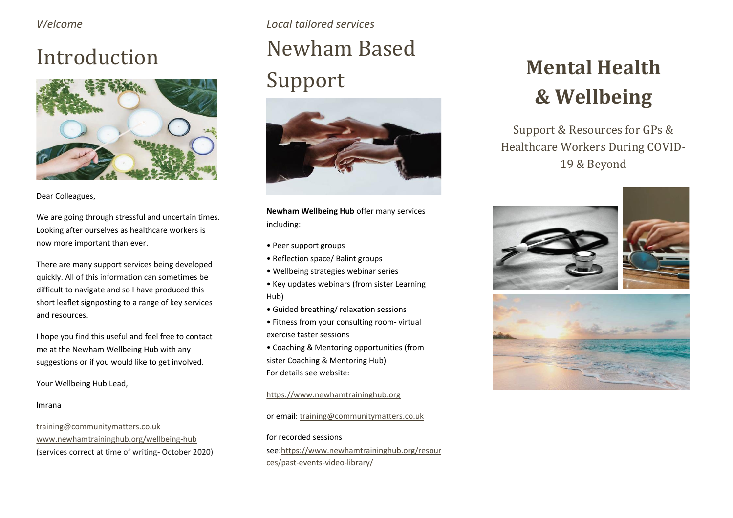*Welcome*

## Introduction



Dear Colleagues,

We are going through stressful and uncertain times. Looking after ourselves as healthcare workers is now more important than ever.

There are many support services being developed quickly. All of this information can sometimes be difficult to navigate and so I have produced this short leaflet signposting to a range of key services and resources.

I hope you find this useful and feel free to contact me at the Newham Wellbeing Hub with any suggestions or if you would like to get involved.

Your Wellbeing Hub Lead,

#### lmrana

[training@communitymatters.co.uk](mailto:training@communitymatters.co.uk) [www.newhamtraininghub.org/wellbeing-hub](http://www.newhamtraininghub.org/wellbeing-hub) (services correct at time of writing- October 2020)

## *Local tailored services* Newham Based Support



**Newham Wellbeing Hub** offer many services including:

- Peer support groups
- Reflection space/ Balint groups
- Wellbeing strategies webinar series
- Key updates webinars (from sister Learning Hub)
- Guided breathing/ relaxation sessions
- Fitness from your consulting room- virtual exercise taster sessions
- Coaching & Mentoring opportunities (from sister Coaching & Mentoring Hub) For details see website:

### [https://www.newhamtraininghub.org](https://www.newhamtraininghub.org/)

or email[: training@communitymatters.co.uk](mailto:training@communitymatters.co.uk)

for recorded sessions se[e:https://www.newhamtraininghub.org/resour](https://www.newhamtraininghub.org/resources/past-events-video-library/) [ces/past-events-video-library/](https://www.newhamtraininghub.org/resources/past-events-video-library/)

# **Mental Health & Wellbeing**

Support & Resources for GPs & Healthcare Workers During COVID-19 & Beyond